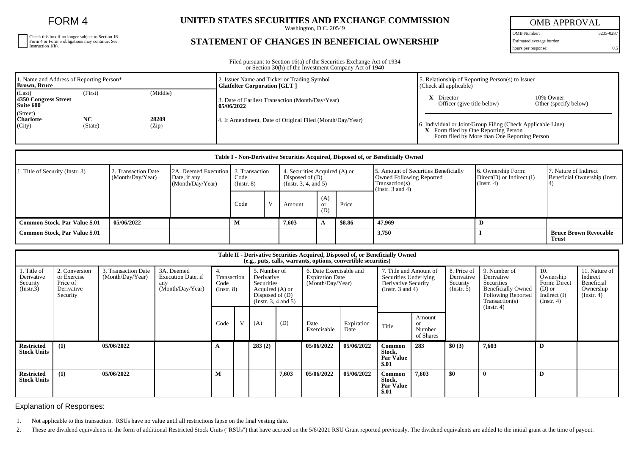FORM 4

| Check this box if no longer subject to Section 16.<br>Form 4 or Form 5 obligations may continue. See Instruction 1(b). |
|------------------------------------------------------------------------------------------------------------------------|
|                                                                                                                        |
|                                                                                                                        |

## **UNITED STATES SECURITIES AND EXCHANGE COMMISSION**

Washington, D.C. 20549

## **STATEMENT OF CHANGES IN BENEFICIAL OWNERSHIP**

OMB APPROVAL

OMB Number: 3235-0287 Estimated average burden

hours per response: 0.5

Filed pursuant to Section 16(a) of the Securities Exchange Act of 1934 or Section 30(h) of the Investment Company Act of 1940

| 1. Name and Address of Reporting Person*<br>Brown, Bruce |               |                | 2. Issuer Name and Ticker or Trading Symbol<br><b>Glatfelter Corporation [GLT]</b> | . Relationship of Reporting Person(s) to Issuer<br>(Check all applicable)                                                                             |                                    |  |  |
|----------------------------------------------------------|---------------|----------------|------------------------------------------------------------------------------------|-------------------------------------------------------------------------------------------------------------------------------------------------------|------------------------------------|--|--|
| (Last)<br>4350 Congress Street<br><b>Suite 600</b>       | (First)       | (Middle)       | 3. Date of Earliest Transaction (Month/Day/Year)<br>05/06/2022                     | Director<br>Officer (give title below)                                                                                                                | 10% Owner<br>Other (specify below) |  |  |
| (Street)<br><b>Charlotte</b><br>(City)                   | NC<br>(State) | 28209<br>(Zip) | 4. If Amendment, Date of Original Filed (Month/Day/Year)                           | 6. Individual or Joint/Group Filing (Check Applicable Line)<br>$X$ Form filed by One Reporting Person<br>Form filed by More than One Reporting Person |                                    |  |  |

| Table I - Non-Derivative Securities Acquired, Disposed of, or Beneficially Owned |                                         |                                                                         |                         |  |                                                                            |                             |        |                                                                                                                    |                                                                    |                                                       |  |  |
|----------------------------------------------------------------------------------|-----------------------------------------|-------------------------------------------------------------------------|-------------------------|--|----------------------------------------------------------------------------|-----------------------------|--------|--------------------------------------------------------------------------------------------------------------------|--------------------------------------------------------------------|-------------------------------------------------------|--|--|
| 1. Title of Security (Instr. 3)                                                  | 2. Transaction Date<br>(Month/Day/Year) | 2A. Deemed Execution 3. Transaction<br>Date, if any<br>(Month/Day/Year) | Code<br>$($ Instr. $8)$ |  | 4. Securities Acquired (A) or<br>Disposed of $(D)$<br>(Instr. 3, 4, and 5) |                             |        | 5. Amount of Securities Beneficially<br><b>Owned Following Reported</b><br>Transaction(s)<br>(Instr. $3$ and $4$ ) | 6. Ownership Form:<br>$Direct(D)$ or Indirect $(I)$<br>(Insert. 4) | 7. Nature of Indirect<br>Beneficial Ownership (Instr. |  |  |
|                                                                                  |                                         |                                                                         | Code                    |  | Amount                                                                     | (A)<br><sub>or</sub><br>(D) | Price  |                                                                                                                    |                                                                    |                                                       |  |  |
| Common Stock, Par Value \$.01                                                    | 05/06/2022                              |                                                                         |                         |  | 7,603                                                                      |                             | \$8.86 | 47,969                                                                                                             |                                                                    |                                                       |  |  |
| <b>Common Stock, Par Value \$.01</b>                                             |                                         |                                                                         |                         |  |                                                                            |                             |        | 3,750                                                                                                              |                                                                    | <b>Bruce Brown Revocable</b><br>Trust                 |  |  |

| Table II - Derivative Securities Acquired, Disposed of, or Beneficially Owned<br>(e.g., puts, calls, warrants, options, convertible securities) |                                                                    |                                         |                                                             |                                        |  |                                                                                                         |       |                                                                       |                    |                                                                                                 |                                                |                                                      |                                                                                                                             |                                                                                    |                                                                          |
|-------------------------------------------------------------------------------------------------------------------------------------------------|--------------------------------------------------------------------|-----------------------------------------|-------------------------------------------------------------|----------------------------------------|--|---------------------------------------------------------------------------------------------------------|-------|-----------------------------------------------------------------------|--------------------|-------------------------------------------------------------------------------------------------|------------------------------------------------|------------------------------------------------------|-----------------------------------------------------------------------------------------------------------------------------|------------------------------------------------------------------------------------|--------------------------------------------------------------------------|
| 1. Title of<br>Derivative<br>Security<br>(Insert.3)                                                                                             | 2. Conversion<br>or Exercise<br>Price of<br>Derivative<br>Security | 3. Transaction Date<br>(Month/Day/Year) | 3A. Deemed<br>Execution Date, if<br>any<br>(Month/Day/Year) | Transaction<br>Code<br>$($ Instr. $8)$ |  | 5. Number of<br>Derivative<br>Securities<br>Acquired (A) or<br>Disposed of $(D)$<br>(Instr. 3, 4 and 5) |       | 6. Date Exercisable and<br><b>Expiration Date</b><br>(Month/Day/Year) |                    | 7. Title and Amount of<br>Securities Underlying<br>Derivative Security<br>(Instr. $3$ and $4$ ) |                                                | 8. Price of<br>Derivative<br>Security<br>(Insert. 5) | 9. Number of<br>Derivative<br><b>Securities</b><br><b>Beneficially Owned</b><br><b>Following Reported</b><br>Transaction(s) | 10.<br>Ownership<br>Form: Direct<br>$(D)$ or<br>Indirect $(I)$<br>$($ Instr. 4 $)$ | 11. Nature of<br>Indirect<br>Beneficial<br>Ownership<br>$($ Instr. 4 $)$ |
|                                                                                                                                                 |                                                                    |                                         |                                                             | Code                                   |  | (A)                                                                                                     | (D)   | Date<br>Exercisable                                                   | Expiration<br>Date | Title                                                                                           | Amount<br><sub>or</sub><br>Number<br>of Shares |                                                      | (Instr. 4)                                                                                                                  |                                                                                    |                                                                          |
| <b>Restricted</b><br><b>Stock Units</b>                                                                                                         | (1)                                                                | 05/06/2022                              |                                                             |                                        |  | 283(2)                                                                                                  |       | 05/06/2022                                                            | 05/06/2022         | Common<br>Stock,<br>Par Value<br>\$.01                                                          | 283                                            | \$0(3)                                               | 7,603                                                                                                                       | D                                                                                  |                                                                          |
| <b>Restricted</b><br><b>Stock Units</b>                                                                                                         | (1)                                                                | 05/06/2022                              |                                                             |                                        |  |                                                                                                         | 7,603 | 05/06/2022                                                            | 05/06/2022         | Common<br>Stock,<br>Par Value<br>\$.01                                                          | 7,603                                          | \$0                                                  |                                                                                                                             | D                                                                                  |                                                                          |

Explanation of Responses:

1. Not applicable to this transaction. RSUs have no value until all restrictions lapse on the final vesting date.

2. These are dividend equivalents in the form of additional Restricted Stock Units ("RSUs") that have accrued on the 5/6/2021 RSU Grant reported previously. The dividend equivalents are added to the initial grant at the ti